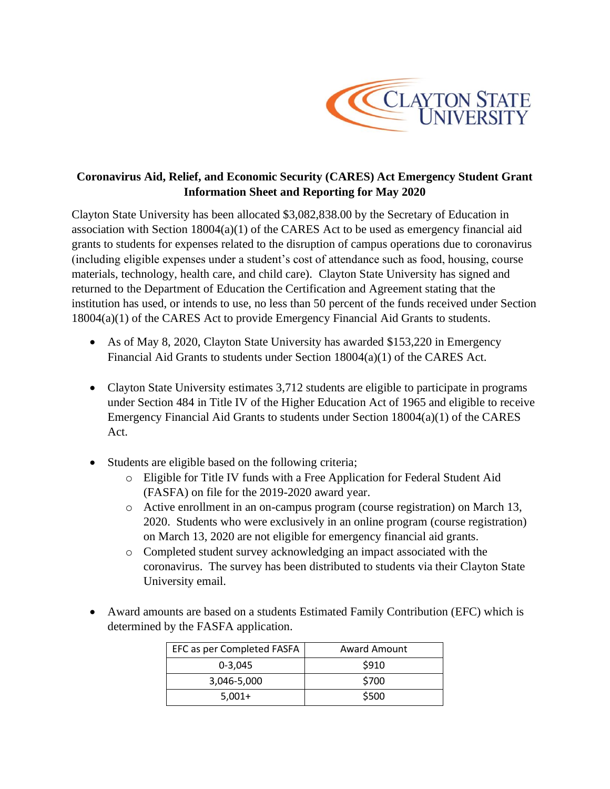

# **Coronavirus Aid, Relief, and Economic Security (CARES) Act Emergency Student Grant Information Sheet and Reporting for May 2020**

Clayton State University has been allocated \$3,082,838.00 by the Secretary of Education in association with Section 18004(a)(1) of the CARES Act to be used as emergency financial aid grants to students for expenses related to the disruption of campus operations due to coronavirus (including eligible expenses under a student's cost of attendance such as food, housing, course materials, technology, health care, and child care). Clayton State University has signed and returned to the Department of Education the Certification and Agreement stating that the institution has used, or intends to use, no less than 50 percent of the funds received under Section 18004(a)(1) of the CARES Act to provide Emergency Financial Aid Grants to students.

- As of May 8, 2020, Clayton State University has awarded \$153,220 in Emergency Financial Aid Grants to students under Section 18004(a)(1) of the CARES Act.
- Clayton State University estimates 3,712 students are eligible to participate in programs under Section 484 in Title IV of the Higher Education Act of 1965 and eligible to receive Emergency Financial Aid Grants to students under Section 18004(a)(1) of the CARES Act.
- Students are eligible based on the following criteria;
	- o Eligible for Title IV funds with a Free Application for Federal Student Aid (FASFA) on file for the 2019-2020 award year.
	- o Active enrollment in an on-campus program (course registration) on March 13, 2020. Students who were exclusively in an online program (course registration) on March 13, 2020 are not eligible for emergency financial aid grants.
	- o Completed student survey acknowledging an impact associated with the coronavirus. The survey has been distributed to students via their Clayton State University email.
- Award amounts are based on a students Estimated Family Contribution (EFC) which is determined by the FASFA application.

| EFC as per Completed FASFA | <b>Award Amount</b> |
|----------------------------|---------------------|
| $0 - 3.045$                | \$910               |
| 3,046-5,000                | \$700               |
| $5,001+$                   | \$500               |